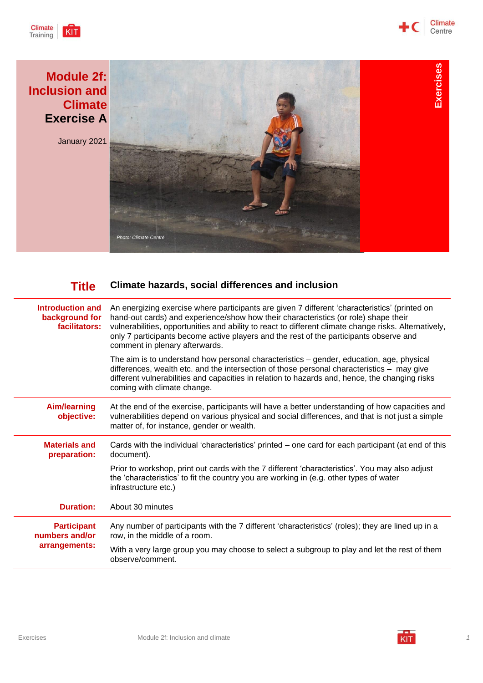





| Introduction and<br>background for<br>facilitators:   | An energizing exercise where participants are given 7 different 'characteristics' (printed on<br>hand-out cards) and experience/show how their characteristics (or role) shape their<br>vulnerabilities, opportunities and ability to react to different climate change risks. Alternatively,<br>only 7 participants become active players and the rest of the participants observe and<br>comment in plenary afterwards. |
|-------------------------------------------------------|---------------------------------------------------------------------------------------------------------------------------------------------------------------------------------------------------------------------------------------------------------------------------------------------------------------------------------------------------------------------------------------------------------------------------|
|                                                       | The aim is to understand how personal characteristics - gender, education, age, physical<br>differences, wealth etc. and the intersection of those personal characteristics - may give<br>different vulnerabilities and capacities in relation to hazards and, hence, the changing risks<br>coming with climate change.                                                                                                   |
| <b>Aim/learning</b><br>objective:                     | At the end of the exercise, participants will have a better understanding of how capacities and<br>vulnerabilities depend on various physical and social differences, and that is not just a simple<br>matter of, for instance, gender or wealth.                                                                                                                                                                         |
| <b>Materials and</b><br>preparation:                  | Cards with the individual 'characteristics' printed – one card for each participant (at end of this<br>document).                                                                                                                                                                                                                                                                                                         |
|                                                       | Prior to workshop, print out cards with the 7 different 'characteristics'. You may also adjust<br>the 'characteristics' to fit the country you are working in (e.g. other types of water<br>infrastructure etc.)                                                                                                                                                                                                          |
| <b>Duration:</b>                                      | About 30 minutes                                                                                                                                                                                                                                                                                                                                                                                                          |
| <b>Participant</b><br>numbers and/or<br>arrangements: | Any number of participants with the 7 different 'characteristics' (roles); they are lined up in a<br>row, in the middle of a room.                                                                                                                                                                                                                                                                                        |
|                                                       | With a very large group you may choose to select a subgroup to play and let the rest of them<br>observe/comment.                                                                                                                                                                                                                                                                                                          |

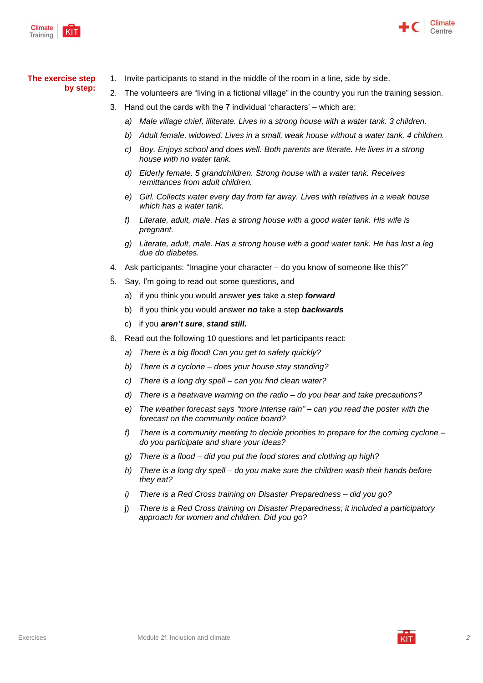



## **The exercise step**

- **by step:**
- 1. Invite participants to stand in the middle of the room in a line, side by side.
- 2. The volunteers are "living in a fictional village" in the country you run the training session.
- 3. Hand out the cards with the 7 individual 'characters' which are:
	- *a) Male village chief, illiterate. Lives in a strong house with a water tank. 3 children.*
	- *b) Adult female, widowed. Lives in a small, weak house without a water tank. 4 children.*
	- *c) Boy. Enjoys school and does well. Both parents are literate. He lives in a strong house with no water tank.*
	- *d) Elderly female. 5 grandchildren. Strong house with a water tank. Receives remittances from adult children.*
	- *e) Girl. Collects water every day from far away. Lives with relatives in a weak house which has a water tank.*
	- *f) Literate, adult, male. Has a strong house with a good water tank. His wife is pregnant.*
	- *g) Literate, adult, male. Has a strong house with a good water tank. He has lost a leg due do diabetes.*
- 4. Ask participants: "Imagine your character do you know of someone like this?"
- 5. Say, I'm going to read out some questions, and
	- a) if you think you would answer *yes* take a step *forward*
	- b) if you think you would answer *no* take a step *backwards*
	- c) if you *aren't sure*, *stand still.*
- 6. Read out the following 10 questions and let participants react:
	- *a) There is a big flood! Can you get to safety quickly?*
	- *b) There is a cyclone – does your house stay standing?*
	- *c) There is a long dry spell – can you find clean water?*
	- *d) There is a heatwave warning on the radio – do you hear and take precautions?*
	- *e) The weather forecast says "more intense rain" – can you read the poster with the forecast on the community notice board?*
	- *f) There is a community meeting to decide priorities to prepare for the coming cyclone – do you participate and share your ideas?*
	- *g) There is a flood – did you put the food stores and clothing up high?*
	- *h) There is a long dry spell – do you make sure the children wash their hands before they eat?*
	- *i) There is a Red Cross training on Disaster Preparedness – did you go?*
	- j) *There is a Red Cross training on Disaster Preparedness; it included a participatory approach for women and children. Did you go?*

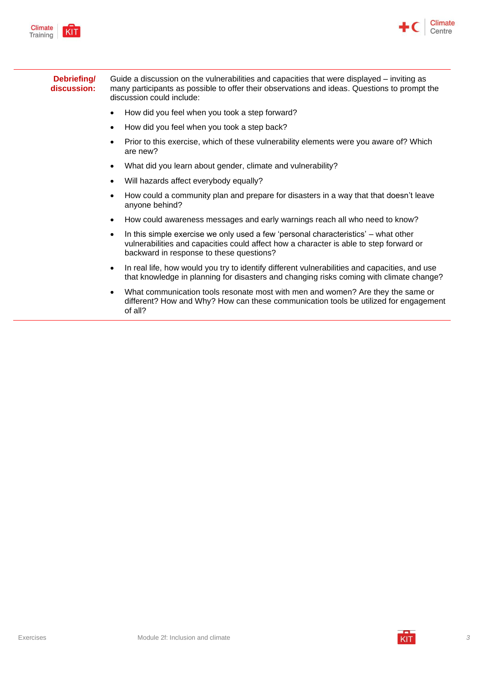



## **Debriefing/ discussion:** Guide a discussion on the vulnerabilities and capacities that were displayed – inviting as many participants as possible to offer their observations and ideas. Questions to prompt the discussion could include:

- How did you feel when you took a step forward?
- How did you feel when you took a step back?
- Prior to this exercise, which of these vulnerability elements were you aware of? Which are new?
- What did you learn about gender, climate and vulnerability?
- Will hazards affect everybody equally?
- How could a community plan and prepare for disasters in a way that that doesn't leave anyone behind?
- How could awareness messages and early warnings reach all who need to know?
- In this simple exercise we only used a few 'personal characteristics' what other vulnerabilities and capacities could affect how a character is able to step forward or backward in response to these questions?
- In real life, how would you try to identify different vulnerabilities and capacities, and use that knowledge in planning for disasters and changing risks coming with climate change?
- What communication tools resonate most with men and women? Are they the same or different? How and Why? How can these communication tools be utilized for engagement of all?